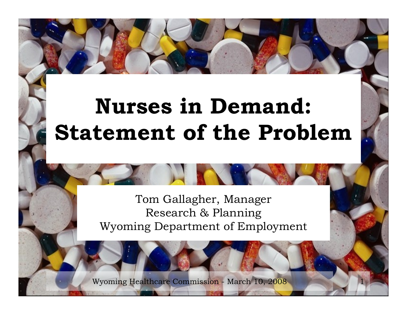# **Nurses in Demand: Statement of the Problem**

#### Tom Gallagher, Manager Research & Planning Wyoming Department of Employment

1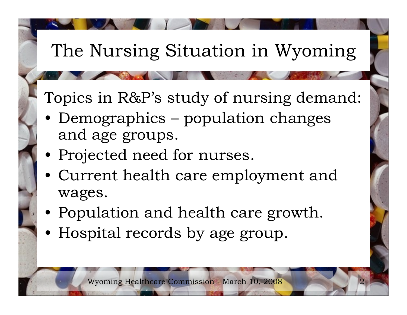## The Nursing Situation in Wyoming

Topics in R&P's study of nursing demand:

- Demographics population changes and age groups.
- Projected need for nurses.
- Current health care employment and wages.
- Population and health care growth.
- Hospital records by age group.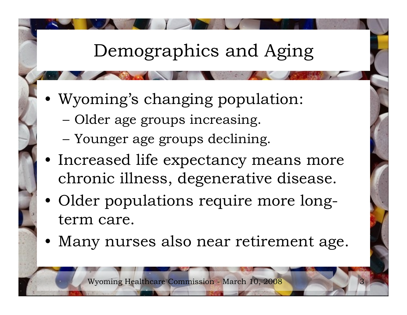## Demographics and Aging

- Wyoming's changing population:
	- Older age groups increasing.
	- Younger age groups declining.
- Increased life expectancy means more chronic illness, degenerative disease.
- Older populations require more longterm care.
- Many nurses also near retirement age.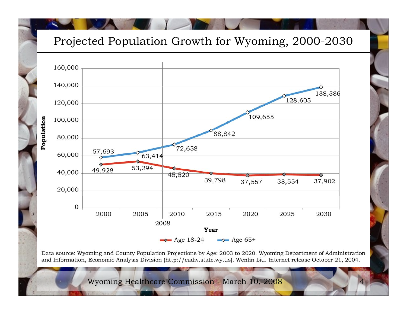#### Projected Population Growth for Wyoming, 2000-2030



Data source: Wyoming and County Population Projections by Age: 2003 to 2020. Wyoming Department of Administration and Information, Economic Analysis Division (http://eadiv.state.wy.us). Wenlin Liu. Internet release October 21, 2004.

4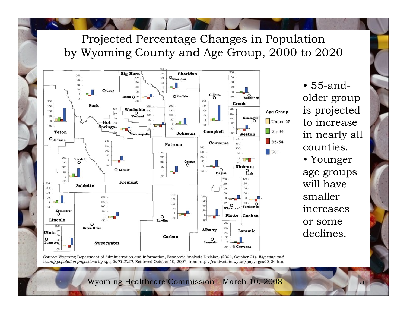#### Projected Percentage Changes in Population by Wyoming County and Age Group, 2000 to 2020



• 55-andolder group is projected to increase in nearly all counties.• Younger age groups will have smaller increases or some declines.

Source: Wyoming Department of Administration and Information, Economic Analysis Division. (2004, October 21). Wyoming and county population projections by age, 2003-2020. Retrieved October 10, 2007, from http://eadiv.state.wy.us/pop/agsx00\_20.htm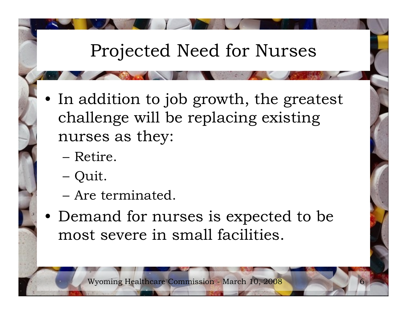## Projected Need for Nurses

- In addition to job growth, the greatest challenge will be replacing existing nurses as they:
	- Retire.
	- Quit.
	- Are terminated.
- Demand for nurses is expected to be most severe in small facilities.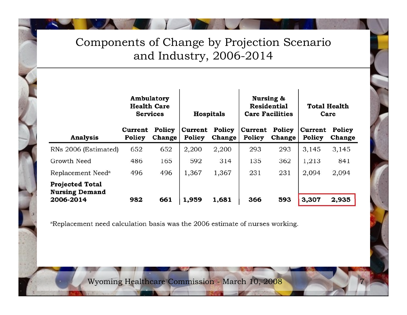#### Components of Change by Projection Scenario and Industry, 2006-2014

|                                                              | Ambulatory<br><b>Health Care</b><br><b>Services</b> |                  | <b>Hospitals</b>  |                  | Nursing &<br><b>Residential</b><br><b>Care Facilities</b> |                         | <b>Total Health</b><br>Care |                  |
|--------------------------------------------------------------|-----------------------------------------------------|------------------|-------------------|------------------|-----------------------------------------------------------|-------------------------|-----------------------------|------------------|
| Analysis                                                     | Current<br>Policy                                   | Policy<br>Change | Current<br>Policy | Policy<br>Change | Current<br>Policy                                         | Policy<br><b>Change</b> | Current<br>Policy           | Policy<br>Change |
| RNs 2006 (Estimated)                                         | 652                                                 | 652              | 2,200             | 2,200            | 293                                                       | 293                     | 3,145                       | 3,145            |
| Growth Need                                                  | 486                                                 | 165              | 592               | 314              | 135                                                       | 362                     | 1,213                       | 841              |
| Replacement Need <sup>a</sup>                                | 496                                                 | 496              | 1,367             | 1,367            | 231                                                       | 231                     | 2,094                       | 2,094            |
| <b>Projected Total</b><br><b>Nursing Demand</b><br>2006-2014 | 982                                                 | 661              | 1,959             | 1,681            | 366                                                       | 593                     | 3,307                       | 2,935            |

aReplacement need calculation basis was the 2006 estimate of nurses working.

Wyoming Healthcare Commission - March 10, 2008

7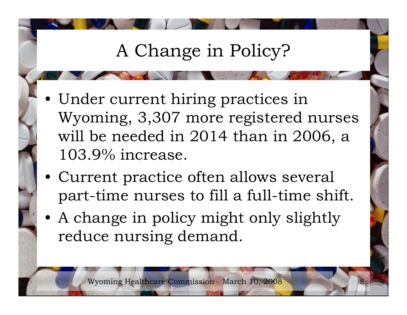## A Change in Policy?

- Under current hiring practices in Wyoming, 3,307 more registered nurses will be needed in 2014 than in 2006, a 103.9% increase.
- Current practice often allows several part-time nurses to fill a full-time shift.
- A change in policy might only slightly reduce nursing demand.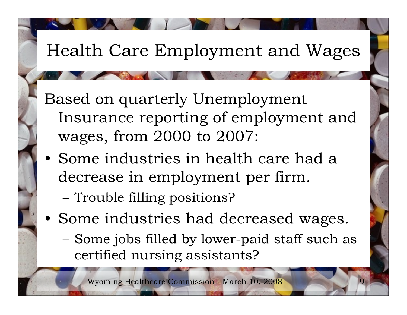#### Health Care Employment and Wages

Based on quarterly Unemployment Insurance reporting of employment and wages, from 2000 to 2007:

- Some industries in health care had a decrease in employment per firm.
	- Trouble filling positions?
- Some industries had decreased wages.
	- Some jobs filled by lower-paid staff such as certified nursing assistants?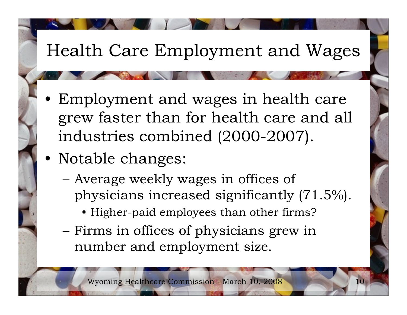#### Health Care Employment and Wages

- Employment and wages in health care grew faster than for health care and all industries combined (2000-2007).
- Notable changes:
	- Average weekly wages in offices of physicians increased significantly (71.5%).
		- Higher-paid employees than other firms?
	- Firms in offices of physicians grew in number and employment size.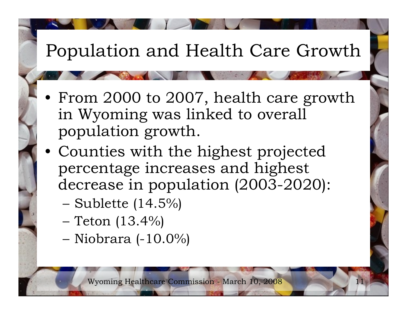## Population and Health Care Growth

- From 2000 to 2007, health care growth in Wyoming was linked to overall population growth.
- Counties with the highest projected percentage increases and highest decrease in population (2003-2020):
	- Sublette (14.5%)
	- Teton (13.4%)
	- Niobrara (-10.0%)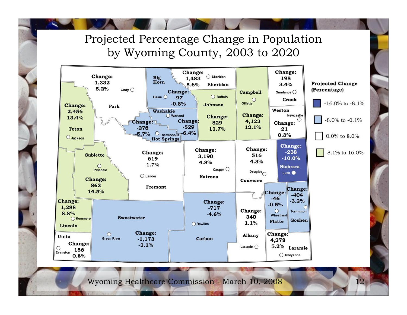#### Projected Percentage Change in Population by Wyoming County, 2003 to 2020

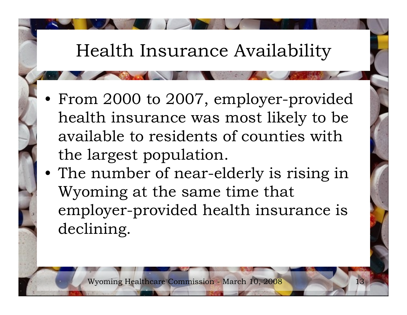#### Health Insurance Availability

- From 2000 to 2007, employer-provided health insurance was most likely to be available to residents of counties with the largest population.
- The number of near-elderly is rising in Wyoming at the same time that employer-provided health insurance is declining.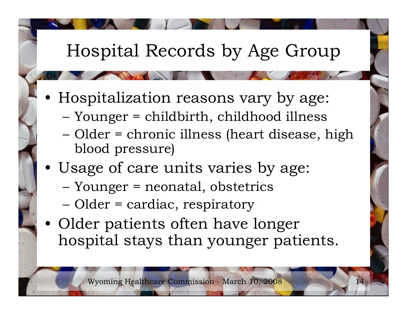## Hospital Records by Age Group

- Hospitalization reasons vary by age:
	- Younger = childbirth, childhood illness
	- Older = chronic illness (heart disease, high blood pressure)
- Usage of care units varies by age:
	- Younger = neonatal, obstetrics
	- Older = cardiac, respiratory
- Older patients often have longer hospital stays than younger patients.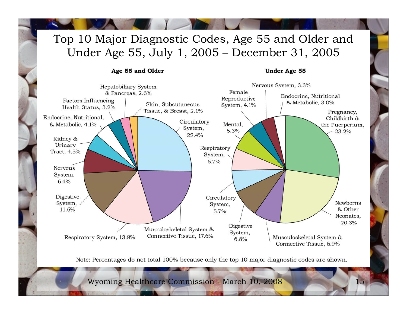#### Top 10 Major Diagnostic Codes, Age 55 and Older and Under Age 55, July 1, 2005 – December 31, 2005

#### Age 55 and Older **Under Age 55** Nervous System, 3.3% Hepatobiliary System Female & Pancreas, 2.6% Endocrine, Nutritional Reproductive Factors Influencing & Metabolic, 3.0% Skin, Subcutaneous System, 4.1% Health Status, 3.2% Tissue, & Breast, 2.1% Pregnancy, Endocrine, Nutritional, Childbirth & Circulatory & Metabolic, 4.1% Mental. the Puerperium, System, 5.3% 23.2% 22.4% Kidney & Urinary Respiratory Tract, 4.5% System, 5.7% **Nervous** System,  $6.4%$ Digestive Circulatory Newborns System, System, & Other 11.6% 5.7% Neonates, 20.3% Digestive Musculoskeletal System & System, Connective Tissue, 17.6% Respiratory System, 13.8% Musculoskeletal System &  $6.8%$ Connective Tissue, 6.9%

Note: Percentages do not total 100% because only the top 10 major diagnostic codes are shown.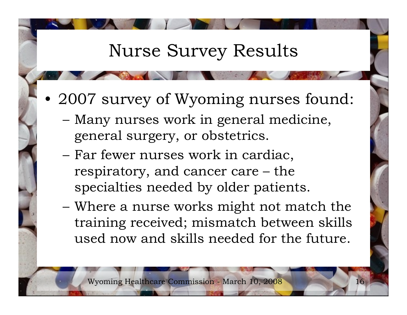#### Nurse Survey Results

- 2007 survey of Wyoming nurses found:
	- Many nurses work in general medicine, general surgery, or obstetrics.
	- Far fewer nurses work in cardiac, respiratory, and cancer care – the specialties needed by older patients.
	- Where a nurse works might not match the training received; mismatch between skills used now and skills needed for the future.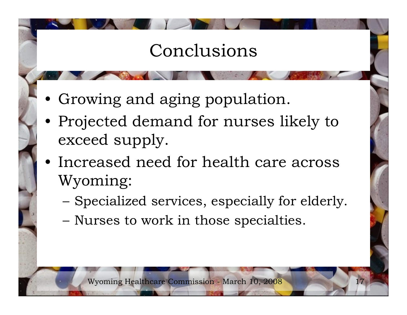## Conclusions

- Growing and aging population.
- Projected demand for nurses likely to exceed supply.
- Increased need for health care across Wyoming:
	- Specialized services, especially for elderly.
	- Nurses to work in those specialties.